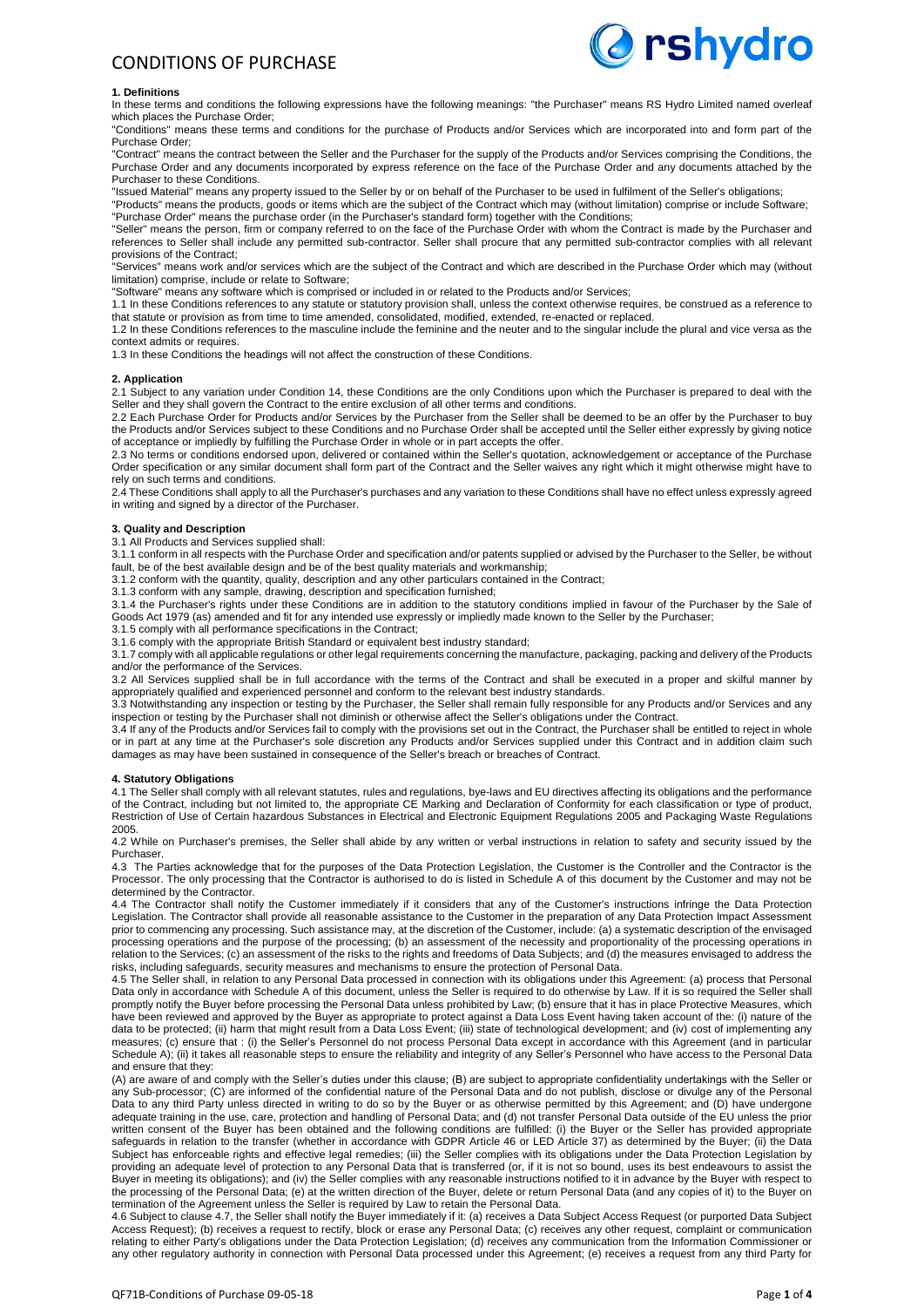

### **1. Definitions**

In these terms and conditions the following expressions have the following meanings: "the Purchaser" means RS Hydro Limited named overleaf which places the Purchase Order;

"Conditions" means these terms and conditions for the purchase of Products and/or Services which are incorporated into and form part of the Purchase Order;

"Contract" means the contract between the Seller and the Purchaser for the supply of the Products and/or Services comprising the Conditions, the Purchase Order and any documents incorporated by express reference on the face of the Purchase Order and any documents attached by the Purchaser to these Conditions.

"Issued Material" means any property issued to the Seller by or on behalf of the Purchaser to be used in fulfilment of the Seller's obligations; "Products" means the products, goods or items which are the subject of the Contract which may (without limitation) comprise or include Software;

"Purchase Order" means the purchase order (in the Purchaser's standard form) together with the Conditions;

"Seller" means the person, firm or company referred to on the face of the Purchase Order with whom the Contract is made by the Purchaser and references to Seller shall include any permitted sub-contractor. Seller shall procure that any permitted sub-contractor complies with all relevant provisions of the Contract;

"Services" means work and/or services which are the subject of the Contract and which are described in the Purchase Order which may (without limitation) comprise, include or relate to Software;

"Software" means any software which is comprised or included in or related to the Products and/or Services;

1.1 In these Conditions references to any statute or statutory provision shall, unless the context otherwise requires, be construed as a reference to that statute or provision as from time to time amended, consolidated, modified, extended, re-enacted or replaced.

1.2 In these Conditions references to the masculine include the feminine and the neuter and to the singular include the plural and vice versa as the context admits or requires

1.3 In these Conditions the headings will not affect the construction of these Conditions.

#### **2. Application**

2.1 Subject to any variation under Condition 14, these Conditions are the only Conditions upon which the Purchaser is prepared to deal with the Seller and they shall govern the Contract to the entire exclusion of all other terms and conditions

2.2 Each Purchase Order for Products and/or Services by the Purchaser from the Seller shall be deemed to be an offer by the Purchaser to buy the Products and/or Services subject to these Conditions and no Purchase Order shall be accepted until the Seller either expressly by giving notice of acceptance or impliedly by fulfilling the Purchase Order in whole or in part accepts the offer.

2.3 No terms or conditions endorsed upon, delivered or contained within the Seller's quotation, acknowledgement or acceptance of the Purchase Order specification or any similar document shall form part of the Contract and the Seller waives any right which it might otherwise might have to rely on such terms and conditions.

2.4 These Conditions shall apply to all the Purchaser's purchases and any variation to these Conditions shall have no effect unless expressly agreed in writing and signed by a director of the Purchaser.

# **3. Quality and Description**

3.1 All Products and Services supplied shall:

3.1.1 conform in all respects with the Purchase Order and specification and/or patents supplied or advised by the Purchaser to the Seller, be without fault, be of the best available design and be of the best quality materials and workmanship;

3.1.2 conform with the quantity, quality, description and any other particulars contained in the Contract;

3.1.3 conform with any sample, drawing, description and specification furnished;

3.1.4 the Purchaser's rights under these Conditions are in addition to the statutory conditions implied in favour of the Purchaser by the Sale of Goods Act 1979 (as) amended and fit for any intended use expressly or impliedly made known to the Seller by the Purchaser;

3.1.5 comply with all performance specifications in the Contract;

3.1.6 comply with the appropriate British Standard or equivalent best industry standard;

3.1.7 comply with all applicable regulations or other legal requirements concerning the manufacture, packaging, packing and delivery of the Products and/or the performance of the Services.

3.2 All Services supplied shall be in full accordance with the terms of the Contract and shall be executed in a proper and skilful manner by appropriately qualified and experienced personnel and conform to the relevant best industry standards.

3.3 Notwithstanding any inspection or testing by the Purchaser, the Seller shall remain fully responsible for any Products and/or Services and any inspection or testing by the Purchaser shall not diminish or otherwise affect the Seller's obligations under the Contract.

3.4 If any of the Products and/or Services fail to comply with the provisions set out in the Contract, the Purchaser shall be entitled to reject in whole or in part at any time at the Purchaser's sole discretion any Products and/or Services supplied under this Contract and in addition claim such damages as may have been sustained in consequence of the Seller's breach or breaches of Contract.

#### **4. Statutory Obligations**

4.1 The Seller shall comply with all relevant statutes, rules and regulations, bye-laws and EU directives affecting its obligations and the performance of the Contract, including but not limited to, the appropriate CE Marking and Declaration of Conformity for each classification or type of product, Restriction of Use of Certain hazardous Substances in Electrical and Electronic Equipment Regulations 2005 and Packaging Waste Regulations 2005.

4.2 While on Purchaser's premises, the Seller shall abide by any written or verbal instructions in relation to safety and security issued by the Purchaser.

4.3 The Parties acknowledge that for the purposes of the Data Protection Legislation, the Customer is the Controller and the Contractor is the Processor. The only processing that the Contractor is authorised to do is listed in Schedule A of this document by the Customer and may not be determined by the Contractor.

4.4 The Contractor shall notify the Customer immediately if it considers that any of the Customer's instructions infringe the Data Protection Legislation. The Contractor shall provide all reasonable assistance to the Customer in the preparation of any Data Protection Impact Assessment prior to commencing any processing. Such assistance may, at the discretion of the Customer, include: (a) a systematic description of the envisaged processing operations and the purpose of the processing; (b) an assessment of the necessity and proportionality of the processing operations in relation to the Services; (c) an assessment of the risks to the rights and freedoms of Data Subjects; and (d) the measures envisaged to address the risks, including safeguards, security measures and mechanisms to ensure the protection of Personal Data.

4.5 The Seller shall, in relation to any Personal Data processed in connection with its obligations under this Agreement: (a) process that Personal Data only in accordance with Schedule A of this document, unless the Seller is required to do otherwise by Law. If it is so required the Seller shall promptly notify the Buyer before processing the Personal Data unless prohibited by Law; (b) ensure that it has in place Protective Measures, which have been reviewed and approved by the Buyer as appropriate to protect against a Data Loss Event having taken account of the: (i) nature of the data to be protected; (ii) harm that might result from a Data Loss Event; (iii) state of technological development; and (iv) cost of implementing any measures; (c) ensure that : (i) the Seller's Personnel do not process Personal Data except in accordance with this Agreement (and in particular Schedule A); (ii) it takes all reasonable steps to ensure the reliability and integrity of any Seller's Personnel who have access to the Personal Data and ensure that they:

(A) are aware of and comply with the Seller's duties under this clause; (B) are subject to appropriate confidentiality undertakings with the Seller or any Sub-processor; (C) are informed of the confidential nature of the Personal Data and do not publish, disclose or divulge any of the Personal Data to any third Party unless directed in writing to do so by the Buyer or as otherwise permitted by this Agreement; and (D) have undergone adequate training in the use, care, protection and handling of Personal Data; and (d) not transfer Personal Data outside of the EU unless the prior written consent of the Buyer has been obtained and the following conditions are fulfilled: (i) the Buyer or the Seller has provided appropriate safeguards in relation to the transfer (whether in accordance with GDPR Article 46 or LED Article 37) as determined by the Buyer; (ii) the Data Subject has enforceable rights and effective legal remedies; (iii) the Seller complies with its obligations under the Data Protection Legislation by providing an adequate level of protection to any Personal Data that is transferred (or, if it is not so bound, uses its best endeavours to assist the Buyer in meeting its obligations); and (iv) the Seller complies with any reasonable instructions notified to it in advance by the Buyer with respect to the processing of the Personal Data; (e) at the written direction of the Buyer, delete or return Personal Data (and any copies of it) to the Buyer on termination of the Agreement unless the Seller is required by Law to retain the Personal Data.

4.6 Subject to clause 4.7, the Seller shall notify the Buyer immediately if it: (a) receives a Data Subject Access Request (or purported Data Subject Access Request); (b) receives a request to rectify, block or erase any Personal Data; (c) receives any other request, complaint or communication relating to either Party's obligations under the Data Protection Legislation; (d) receives any communication from the Information Commissioner or any other regulatory authority in connection with Personal Data processed under this Agreement; (e) receives a request from any third Party for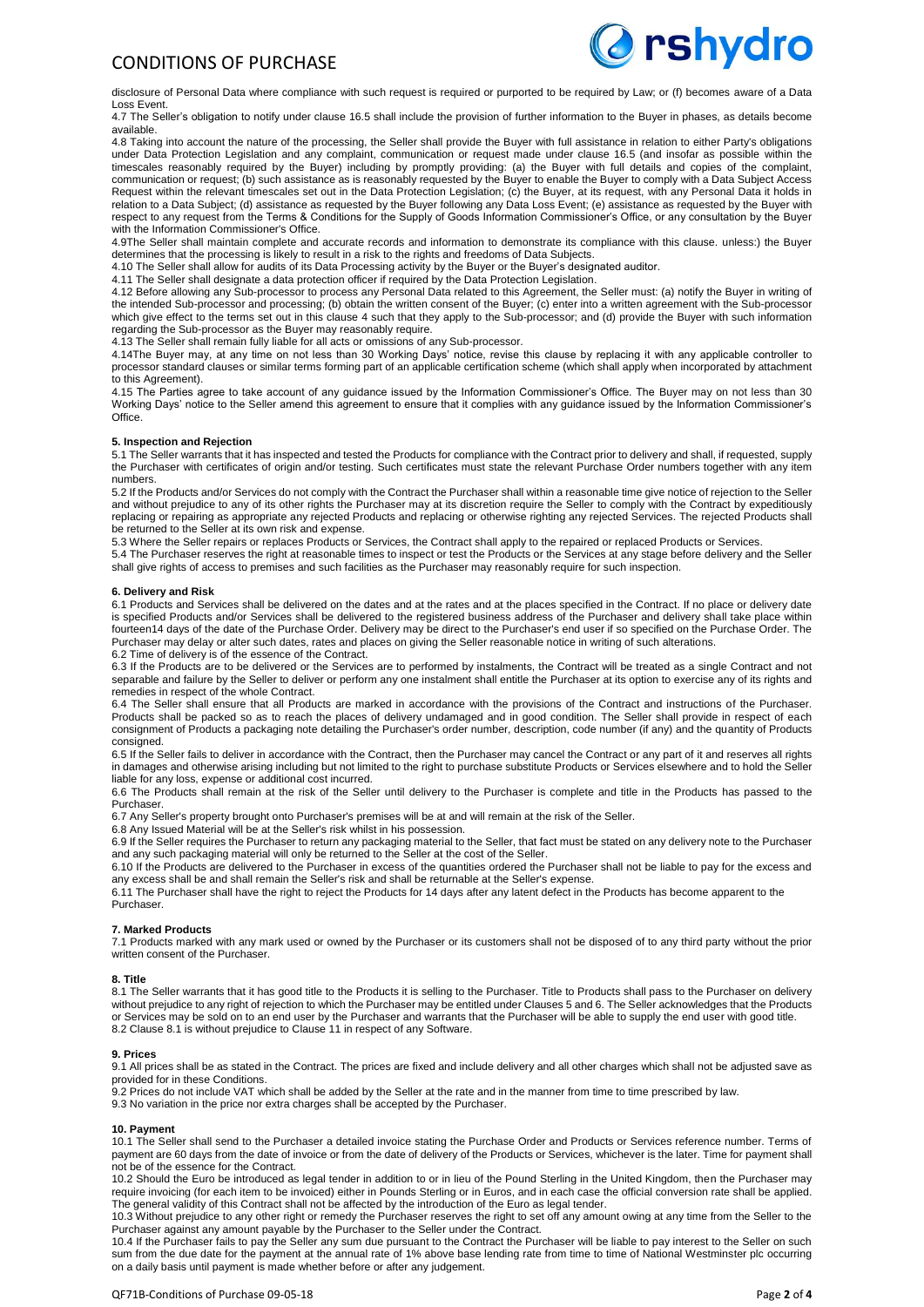

disclosure of Personal Data where compliance with such request is required or purported to be required by Law; or (f) becomes aware of a Data Loss Event.

4.7 The Seller's obligation to notify under clause 16.5 shall include the provision of further information to the Buyer in phases, as details become available.

4.8 Taking into account the nature of the processing, the Seller shall provide the Buyer with full assistance in relation to either Party's obligations under Data Protection Legislation and any complaint, communication or request made under clause 16.5 (and insofar as possible within the timescales reasonably required by the Buyer) including by promptly providing: (a) the Buyer with full details and copies of the complaint, communication or request; (b) such assistance as is reasonably requested by the Buyer to enable the Buyer to comply with a Data Subject Access Request within the relevant timescales set out in the Data Protection Legislation; (c) the Buyer, at its request, with any Personal Data it holds in relation to a Data Subject; (d) assistance as requested by the Buyer following any Data Loss Event; (e) assistance as requested by the Buyer with respect to any request from the Terms & Conditions for the Supply of Goods Information Commissioner's Office, or any consultation by the Buyer with the Information Commissioner's Office.

4.9The Seller shall maintain complete and accurate records and information to demonstrate its compliance with this clause. unless:) the Buyer determines that the processing is likely to result in a risk to the rights and freedoms of Data Subjects.

4.10 The Seller shall allow for audits of its Data Processing activity by the Buyer or the Buyer's designated auditor.

4.11 The Seller shall designate a data protection officer if required by the Data Protection Legislation.

4.12 Before allowing any Sub-processor to process any Personal Data related to this Agreement, the Seller must: (a) notify the Buyer in writing of the intended Sub-processor and processing; (b) obtain the written consent of the Buyer; (c) enter into a written agreement with the Sub-processor which give effect to the terms set out in this clause 4 such that they apply to the Sub-processor; and (d) provide the Buyer with such information regarding the Sub-processor as the Buyer may reasonably require.

4.13 The Seller shall remain fully liable for all acts or omissions of any Sub-processor.

4.14The Buyer may, at any time on not less than 30 Working Days' notice, revise this clause by replacing it with any applicable controller to processor standard clauses or similar terms forming part of an applicable certification scheme (which shall apply when incorporated by attachment to this Agreement).

4.15 The Parties agree to take account of any guidance issued by the Information Commissioner's Office. The Buyer may on not less than 30 Working Days' notice to the Seller amend this agreement to ensure that it complies with any guidance issued by the Information Commissioner's **Office** 

# **5. Inspection and Rejection**

5.1 The Seller warrants that it has inspected and tested the Products for compliance with the Contract prior to delivery and shall, if requested, supply the Purchaser with certificates of origin and/or testing. Such certificates must state the relevant Purchase Order numbers together with any item numbers.

5.2 If the Products and/or Services do not comply with the Contract the Purchaser shall within a reasonable time give notice of rejection to the Seller and without prejudice to any of its other rights the Purchaser may at its discretion require the Seller to comply with the Contract by expeditiously replacing or repairing as appropriate any rejected Products and replacing or otherwise righting any rejected Services. The rejected Products shall be returned to the Seller at its own risk and expense.

5.3 Where the Seller repairs or replaces Products or Services, the Contract shall apply to the repaired or replaced Products or Services.

5.4 The Purchaser reserves the right at reasonable times to inspect or test the Products or the Services at any stage before delivery and the Seller shall give rights of access to premises and such facilities as the Purchaser may reasonably require for such inspection.

# **6. Delivery and Risk**

6.1 Products and Services shall be delivered on the dates and at the rates and at the places specified in the Contract. If no place or delivery date is specified Products and/or Services shall be delivered to the registered business address of the Purchaser and delivery shall take place within fourteen14 days of the date of the Purchase Order. Delivery may be direct to the Purchaser's end user if so specified on the Purchase Order. The Purchaser may delay or alter such dates, rates and places on giving the Seller reasonable notice in writing of such alterations 6.2 Time of delivery is of the essence of the Contract.

6.3 If the Products are to be delivered or the Services are to performed by instalments, the Contract will be treated as a single Contract and not separable and failure by the Seller to deliver or perform any one instalment shall entitle the Purchaser at its option to exercise any of its rights and remedies in respect of the whole Contract.

6.4 The Seller shall ensure that all Products are marked in accordance with the provisions of the Contract and instructions of the Purchaser. Products shall be packed so as to reach the places of delivery undamaged and in good condition. The Seller shall provide in respect of each consignment of Products a packaging note detailing the Purchaser's order number, description, code number (if any) and the quantity of Products consigned.

6.5 If the Seller fails to deliver in accordance with the Contract, then the Purchaser may cancel the Contract or any part of it and reserves all rights in damages and otherwise arising including but not limited to the right to purchase substitute Products or Services elsewhere and to hold the Seller liable for any loss, expense or additional cost incurred.

6.6 The Products shall remain at the risk of the Seller until delivery to the Purchaser is complete and title in the Products has passed to the Purchaser.

6.7 Any Seller's property brought onto Purchaser's premises will be at and will remain at the risk of the Seller.

6.8 Any Issued Material will be at the Seller's risk whilst in his possession.

6.9 If the Seller requires the Purchaser to return any packaging material to the Seller, that fact must be stated on any delivery note to the Purchaser and any such packaging material will only be returned to the Seller at the cost of the Seller.

6.10 If the Products are delivered to the Purchaser in excess of the quantities ordered the Purchaser shall not be liable to pay for the excess and any excess shall be and shall remain the Seller's risk and shall be returnable at the Seller's expense.

6.11 The Purchaser shall have the right to reject the Products for 14 days after any latent defect in the Products has become apparent to the Purchaser.

# **7. Marked Products**

7.1 Products marked with any mark used or owned by the Purchaser or its customers shall not be disposed of to any third party without the prior written consent of the Purchaser.

# **8. Title**

8.1 The Seller warrants that it has good title to the Products it is selling to the Purchaser. Title to Products shall pass to the Purchaser on delivery without prejudice to any right of rejection to which the Purchaser may be entitled under Clauses 5 and 6. The Seller acknowledges that the Products or Services may be sold on to an end user by the Purchaser and warrants that the Purchaser will be able to supply the end user with good title. 8.2 Clause 8.1 is without prejudice to Clause 11 in respect of any Software.

# **9. Prices**

9.1 All prices shall be as stated in the Contract. The prices are fixed and include delivery and all other charges which shall not be adjusted save as provided for in these Conditions.

9.2 Prices do not include VAT which shall be added by the Seller at the rate and in the manner from time to time prescribed by law.

9.3 No variation in the price nor extra charges shall be accepted by the Purchaser.

# **10. Payment**

10.1 The Seller shall send to the Purchaser a detailed invoice stating the Purchase Order and Products or Services reference number. Terms of payment are 60 days from the date of invoice or from the date of delivery of the Products or Services, whichever is the later. Time for payment shall not be of the essence for the Contract.

10.2 Should the Euro be introduced as legal tender in addition to or in lieu of the Pound Sterling in the United Kingdom, then the Purchaser may require invoicing (for each item to be invoiced) either in Pounds Sterling or in Euros, and in each case the official conversion rate shall be applied. The general validity of this Contract shall not be affected by the introduction of the Euro as legal tender.

10.3 Without prejudice to any other right or remedy the Purchaser reserves the right to set off any amount owing at any time from the Seller to the Purchaser against any amount payable by the Purchaser to the Seller under the Contract.

10.4 If the Purchaser fails to pay the Seller any sum due pursuant to the Contract the Purchaser will be liable to pay interest to the Seller on such sum from the due date for the payment at the annual rate of 1% above base lending rate from time to time of National Westminster plc occurring on a daily basis until payment is made whether before or after any judgement.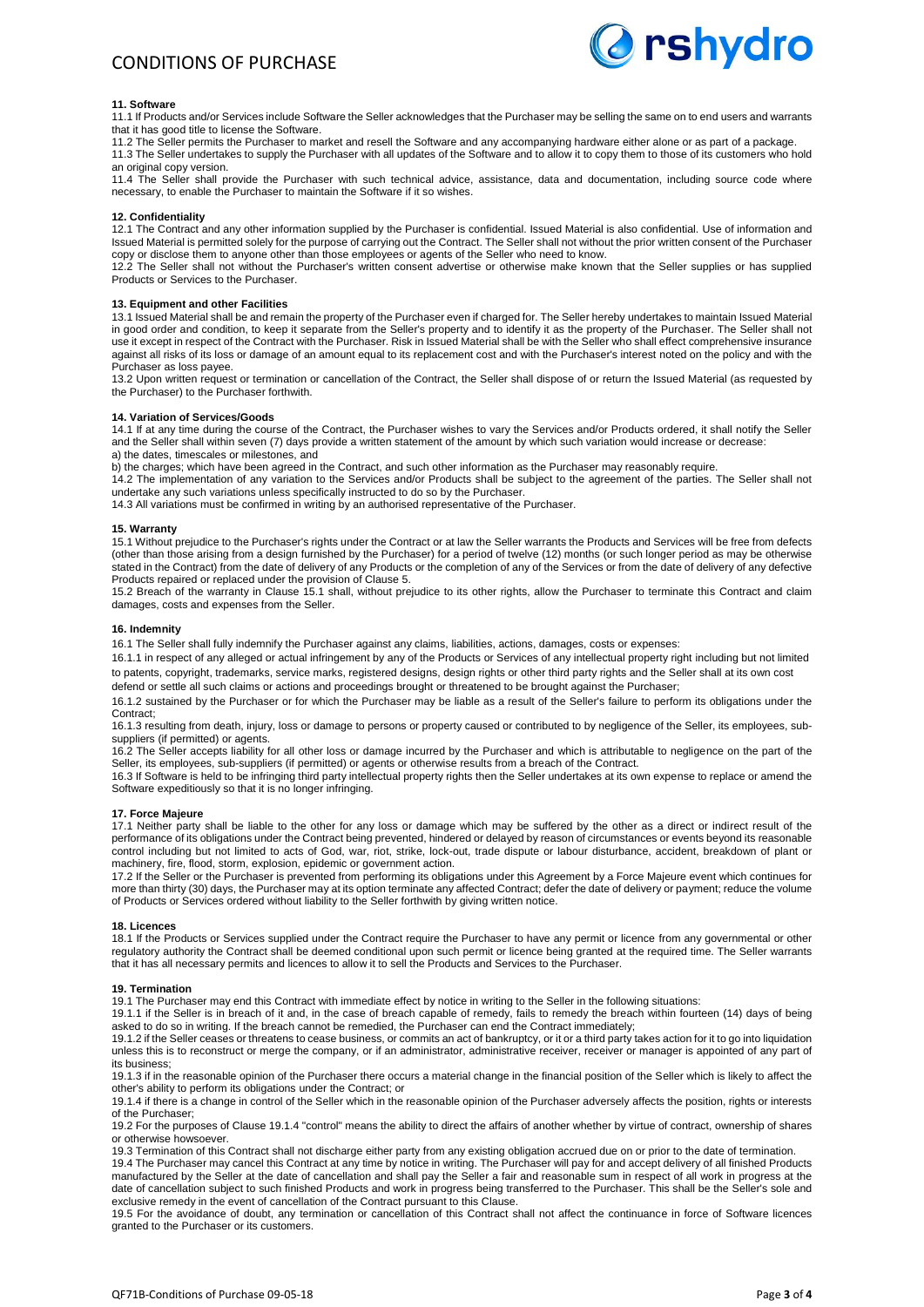

# **11. Software**

11.1 If Products and/or Services include Software the Seller acknowledges that the Purchaser may be selling the same on to end users and warrants that it has good title to license the Software.

11.2 The Seller permits the Purchaser to market and resell the Software and any accompanying hardware either alone or as part of a package. 11.3 The Seller undertakes to supply the Purchaser with all updates of the Software and to allow it to copy them to those of its customers who hold

an original copy version. 11.4 The Seller shall provide the Purchaser with such technical advice, assistance, data and documentation, including source code where necessary, to enable the Purchaser to maintain the Software if it so wishes.

# **12. Confidentiality**

12.1 The Contract and any other information supplied by the Purchaser is confidential. Issued Material is also confidential. Use of information and Issued Material is permitted solely for the purpose of carrying out the Contract. The Seller shall not without the prior written consent of the Purchaser copy or disclose them to anyone other than those employees or agents of the Seller who need to know.

12.2 The Seller shall not without the Purchaser's written consent advertise or otherwise make known that the Seller supplies or has supplied Products or Services to the Purchaser.

#### **13. Equipment and other Facilities**

13.1 Issued Material shall be and remain the property of the Purchaser even if charged for. The Seller hereby undertakes to maintain Issued Material in good order and condition, to keep it separate from the Seller's property and to identify it as the property of the Purchaser. The Seller shall not use it except in respect of the Contract with the Purchaser. Risk in Issued Material shall be with the Seller who shall effect comprehensive insurance against all risks of its loss or damage of an amount equal to its replacement cost and with the Purchaser's interest noted on the policy and with the Purchaser as loss payee.

13.2 Upon written request or termination or cancellation of the Contract, the Seller shall dispose of or return the Issued Material (as requested by the Purchaser) to the Purchaser forthwith.

#### **14. Variation of Services/Goods**

14.1 If at any time during the course of the Contract, the Purchaser wishes to vary the Services and/or Products ordered, it shall notify the Seller and the Seller shall within seven (7) days provide a written statement of the amount by which such variation would increase or decrease: a) the dates, timescales or milestones, and

b) the charges; which have been agreed in the Contract, and such other information as the Purchaser may reasonably require.

14.2 The implementation of any variation to the Services and/or Products shall be subject to the agreement of the parties. The Seller shall not undertake any such variations unless specifically instructed to do so by the Purchaser.

14.3 All variations must be confirmed in writing by an authorised representative of the Purchaser.

#### **15. Warranty**

15.1 Without prejudice to the Purchaser's rights under the Contract or at law the Seller warrants the Products and Services will be free from defects (other than those arising from a design furnished by the Purchaser) for a period of twelve (12) months (or such longer period as may be otherwise stated in the Contract) from the date of delivery of any Products or the completion of any of the Services or from the date of delivery of any defective Products repaired or replaced under the provision of Clause 5.

15.2 Breach of the warranty in Clause 15.1 shall, without prejudice to its other rights, allow the Purchaser to terminate this Contract and claim damages, costs and expenses from the Seller.

#### **16. Indemnity**

16.1 The Seller shall fully indemnify the Purchaser against any claims, liabilities, actions, damages, costs or expenses:

16.1.1 in respect of any alleged or actual infringement by any of the Products or Services of any intellectual property right including but not limited to patents, copyright, trademarks, service marks, registered designs, design rights or other third party rights and the Seller shall at its own cost

defend or settle all such claims or actions and proceedings brought or threatened to be brought against the Purchaser;

16.1.2 sustained by the Purchaser or for which the Purchaser may be liable as a result of the Seller's failure to perform its obligations under the Contract;

16.1.3 resulting from death, injury, loss or damage to persons or property caused or contributed to by negligence of the Seller, its employees, subsuppliers (if permitted) or agents.

16.2 The Seller accepts liability for all other loss or damage incurred by the Purchaser and which is attributable to negligence on the part of the Seller, its employees, sub-suppliers (if permitted) or agents or otherwise results from a breach of the Contract.

16.3 If Software is held to be infringing third party intellectual property rights then the Seller undertakes at its own expense to replace or amend the Software expeditiously so that it is no longer infringing.

#### **17. Force Majeure**

17.1 Neither party shall be liable to the other for any loss or damage which may be suffered by the other as a direct or indirect result of the performance of its obligations under the Contract being prevented, hindered or delayed by reason of circumstances or events beyond its reasonable control including but not limited to acts of God, war, riot, strike, lock-out, trade dispute or labour disturbance, accident, breakdown of plant or machinery, fire, flood, storm, explosion, epidemic or government action.

17.2 If the Seller or the Purchaser is prevented from performing its obligations under this Agreement by a Force Majeure event which continues for more than thirty (30) days, the Purchaser may at its option terminate any affected Contract; defer the date of delivery or payment; reduce the volume of Products or Services ordered without liability to the Seller forthwith by giving written notice.

#### **18. Licences**

18.1 If the Products or Services supplied under the Contract require the Purchaser to have any permit or licence from any governmental or other regulatory authority the Contract shall be deemed conditional upon such permit or licence being granted at the required time. The Seller warrants that it has all necessary permits and licences to allow it to sell the Products and Services to the Purchaser.

#### **19. Termination**

19.1 The Purchaser may end this Contract with immediate effect by notice in writing to the Seller in the following situations:

19.1.1 if the Seller is in breach of it and, in the case of breach capable of remedy, fails to remedy the breach within fourteen (14) days of being asked to do so in writing. If the breach cannot be remedied, the Purchaser can end the Contract immediately;

19.1.2 if the Seller ceases or threatens to cease business, or commits an act of bankruptcy, or it or a third party takes action for it to go into liquidation unless this is to reconstruct or merge the company, or if an administrator, administrative receiver, receiver or manager is appointed of any part of its business;

19.1.3 if in the reasonable opinion of the Purchaser there occurs a material change in the financial position of the Seller which is likely to affect the other's ability to perform its obligations under the Contract; or

19.1.4 if there is a change in control of the Seller which in the reasonable opinion of the Purchaser adversely affects the position, rights or interests of the Purchaser;

19.2 For the purposes of Clause 19.1.4 "control" means the ability to direct the affairs of another whether by virtue of contract, ownership of shares or otherwise howsoever.

19.3 Termination of this Contract shall not discharge either party from any existing obligation accrued due on or prior to the date of termination.

19.4 The Purchaser may cancel this Contract at any time by notice in writing. The Purchaser will pay for and accept delivery of all finished Products manufactured by the Seller at the date of cancellation and shall pay the Seller a fair and reasonable sum in respect of all work in progress at the date of cancellation subject to such finished Products and work in progress being transferred to the Purchaser. This shall be the Seller's sole and exclusive remedy in the event of cancellation of the Contract pursuant to this Clause.

19.5 For the avoidance of doubt, any termination or cancellation of this Contract shall not affect the continuance in force of Software licences granted to the Purchaser or its customers.